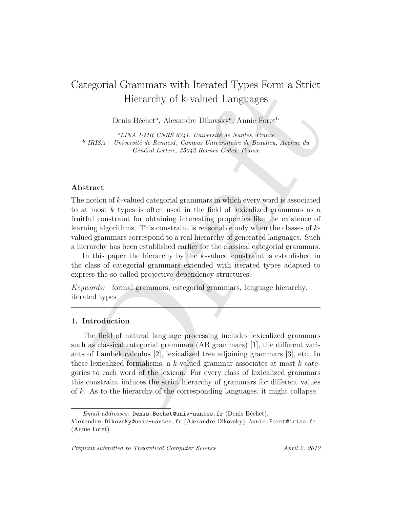# Categorial Grammars with Iterated Types Form a Strict Hierarchy of k-valued Languages

Denis Béchet<sup>a</sup>, Alexandre Dikovsky<sup>a</sup>, Annie Foret<sup>b</sup>

 $^{a}$ LINA UMR CNRS 6241, Université de Nantes, France <sup>b</sup> IRISA – Université de Rennes1, Campus Universitaire de Beaulieu, Avenue du Général Leclerc, 35042 Rennes Cedex, France

#### Abstract

The notion of  $k$ -valued categorial grammars in which every word is associated to at most k types is often used in the field of lexicalized grammars as a fruitful constraint for obtaining interesting properties like the existence of learning algorithms. This constraint is reasonable only when the classes of kvalued grammars correspond to a real hierarchy of generated languages. Such a hierarchy has been established earlier for the classical categorial grammars.

In this paper the hierarchy by the k-valued constraint is established in the class of categorial grammars extended with iterated types adapted to express the so called projective dependency structures.

Keywords: formal grammars, categorial grammars, language hierarchy, iterated types

#### 1. Introduction

Example 1.1 Continuous with rectanced 1 y position in a solution<br>
Hierarchy of k-valued Languages<br>
Denis Béchet<sup>4</sup>, Alexandre Dikovsky<sup>4</sup>, Annie Force<sup>15</sup><br>
<sup>9</sup> *HdSA* – *Université de Remais Compas Oniversité de Beauties,* The field of natural language processing includes lexicalized grammars such as classical categorial grammars (AB grammars) [1], the different variants of Lambek calculus [2], lexicalized tree adjoining grammars [3], etc. In these lexicalized formalisms, a k-valued grammar associates at most k categories to each word of the lexicon. For every class of lexicalized grammars this constraint induces the strict hierarchy of grammars for different values of k. As to the hierarchy of the corresponding languages, it might collapse.

Preprint submitted to Theoretical Computer Science April 2, 2012

 $Email \ addresses: Denis.Bechet@univ-nantes.fr (Denis Béchet),$ 

Alexandre.Dikovsky@univ-nantes.fr (Alexandre Dikovsky), Annie.Foret@irisa.fr (Annie Foret)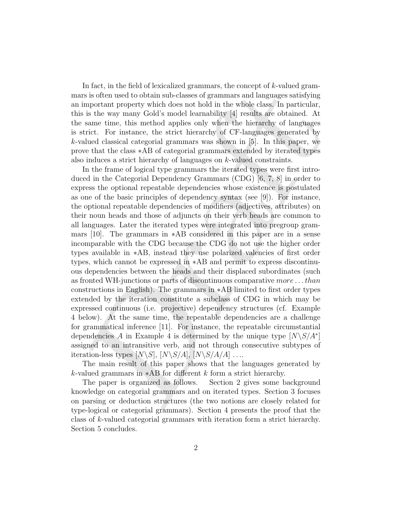In fact, in the field of lexicalized grammars, the concept of  $k$ -valued grammars is often used to obtain sub-classes of grammars and languages satisfying an important property which does not hold in the whole class. In particular, this is the way many Gold's model learnability [4] results are obtained. At the same time, this method applies only when the hierarchy of languages is strict. For instance, the strict hierarchy of CF-languages generated by k-valued classical categorial grammars was shown in [5]. In this paper, we prove that the class ∗AB of categorial grammars extended by iterated types also induces a strict hierarchy of languages on k-valued constraints.

man, in one not to both and both schedar groundly in events of the same in the same in the same is it for the constrained to obtain sub-classes of grammars and languages satisfying important property which does not hold i In the frame of logical type grammars the iterated types were first introduced in the Categorial Dependency Grammars (CDG) [6, 7, 8] in order to express the optional repeatable dependencies whose existence is postulated as one of the basic principles of dependency syntax (see [9]). For instance, the optional repeatable dependencies of modifiers (adjectives, attributes) on their noun heads and those of adjuncts on their verb heads are common to all languages. Later the iterated types were integrated into pregroup grammars [10]. The grammars in ∗AB considered in this paper are in a sense incomparable with the CDG because the CDG do not use the higher order types available in ∗AB, instead they use polarized valencies of first order types, which cannot be expressed in ∗AB and permit to express discontinuous dependencies between the heads and their displaced subordinates (such as fronted WH-junctions or parts of discontinuous comparative more . . . than constructions in English). The grammars in ∗AB limited to first order types extended by the iteration constitute a subclass of CDG in which may be expressed continuous (i.e. projective) dependency structures (cf. Example 4 below). At the same time, the repeatable dependencies are a challenge for grammatical inference [11]. For instance, the repeatable circumstantial dependencies A in Example 4 is determined by the unique type  $[N\gtrsim S/A^*]$ assigned to an intransitive verb, and not through consecutive subtypes of iteration-less types  $[N\setminus S]$ ,  $[N\setminus S/A]$ ,  $[N\setminus S/A/A]$  ....

The main result of this paper shows that the languages generated by k-valued grammars in ∗AB for different k form a strict hierarchy.

The paper is organized as follows. Section 2 gives some background knowledge on categorial grammars and on iterated types. Section 3 focuses on parsing or deduction structures (the two notions are closely related for type-logical or categorial grammars). Section 4 presents the proof that the class of k-valued categorial grammars with iteration form a strict hierarchy. Section 5 concludes.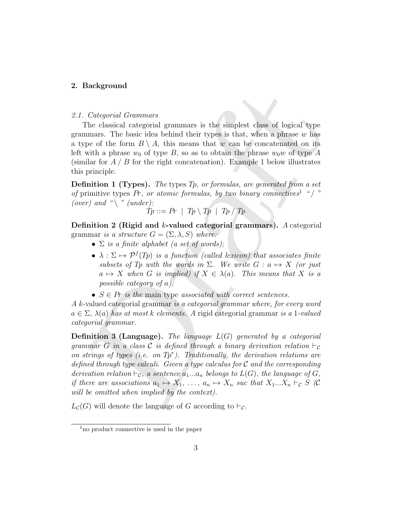#### 2. Background

#### 2.1. Categorial Grammars

The classical categorial grammars is the simplest class of logical type grammars. The basic idea behind their types is that, when a phrase  $w$  has a type of the form  $B \setminus A$ , this means that w can be concatenated on its left with a phrase  $w_0$  of type B, so as to obtain the phrase  $w_0w$  of type A (similar for  $A / B$  for the right concatenation). Example 1 below illustrates this principle.

**Definition 1 (Types).** The types  $Tp$ , or formulas, are generated from a set of primitive types Pr, or atomic formulas, by two binary connectives<sup>1</sup> "/" (over) and " $\langle$ " (under):

$$
Tp ::= Pr \mid Tp \setminus Tp \mid Tp / Tp
$$

Definition 2 (Rigid and k-valued categorial grammars). A categorial grammar is a structure  $G = (\Sigma, \lambda, S)$  where:

- $\Sigma$  is a finite alphabet (a set of words);
- $\lambda : \Sigma \mapsto \mathcal{P}^f(T_p)$  is a function (called lexicon) that associates finite subsets of Tp with the words in  $\Sigma$ . We write  $G: a \mapsto X$  (or just  $a \mapsto X$  when G is implied) if  $X \in \lambda(a)$ . This means that X is a possible category of a);
- $S \in Pr$  is the main type associated with correct sentences.

A k-valued categorial grammar is a categorial grammar where, for every word  $a \in \Sigma$ ,  $\lambda(a)$  has at most k elements. A rigid categorial grammar is a 1-valued categorial grammar.

. *Categorial Grammars*<br>
. *Categorial Grammars*<br>
The classical categorial grammars is the simplest class of logical type<br>
The catestical categorial grammars is the simplest class of logical type<br>
ype of the form B \ A, t **Definition 3 (Language).** The language  $L(G)$  generated by a categorial grammar G in a class C is defined through a binary derivation relation  $\vdash_C$ on strings of types (i.e. on  $Tp^*$ ). Traditionally, the derivation relations are defined through type calculi. Given a type calculus for  $\mathcal C$  and the corresponding derivation relation  $\vdash_{\mathcal{C}}$ , a sentence  $a_1...a_n$  belongs to  $L(G)$ , the language of G, if there are associations  $a_1 \mapsto X_1, \ldots, a_n \mapsto X_n$  suc that  $X_1...X_n \vdash_{\mathcal{C}} S$  (C will be omitted when implied by the context).

 $L_c(G)$  will denote the language of G according to  $\vdash_c$ .

<sup>1</sup>no product connective is used in the paper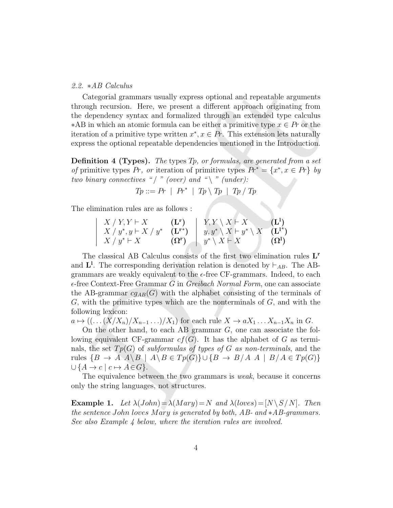#### 2.2. ∗AB Calculus

Categorial grammars usually express optional and repeatable arguments through recursion. Here, we present a different approach originating from the dependency syntax and formalized through an extended type calculus  $*AB$  in which an atomic formula can be either a primitive type  $x \in Pr$  or the iteration of a primitive type written  $x^*, x \in Pr$ . This extension lets naturally express the optional repeatable dependencies mentioned in the Introduction.

**Definition 4 (Types).** The types  $T_p$ , or formulas, are generated from a set of primitive types Pr, or iteration of primitive types  $Pr^* = \{x^*, x \in Pr\}$  by two binary connectives "/" (over) and "\" (under):

$$
Tp ::= Pr \mid Pr^* \mid Tp \setminus Tp \mid Tp / Tp
$$

The elimination rules are as follows :

$$
\begin{array}{c|c|c|c} X \;/\; Y,Y \vdash X & \textbf{(L^r)}\\ X \;/\; y^* ,y \vdash X \;/\; y^* & \textbf{(L^{r^*})}\\ X \;/\; y^* \vdash X & \textbf{(Q^r)}\\ \end{array}\quad \ \ \left| \begin{array}{c} Y,Y \setminus X \vdash X \\ y,y^* \setminus X \vdash y^* \setminus X & \textbf{(L^l^*)}\\ y^* \setminus X \vdash X & \textbf{(Q^l)}\\ \end{array} \right.
$$

And Catalonia<br>
Categorial grammars usually express optional and repeatable arguments<br>
orgh recursion. Here, we present a different approach originating from<br>
dependency syntax and formulaicd through an extricted type  $x \in$ The classical AB Calculus consists of the first two elimination rules  $L<sup>r</sup>$ and  $\mathbf{L}^{\mathbf{l}}$ . The corresponding derivation relation is denoted by  $\vdash_{AB}$ . The ABgrammars are weakly equivalent to the  $\epsilon$ -free CF-grammars. Indeed, to each  $\epsilon$ -free Context-Free Grammar G in Greibach Normal Form, one can associate the AB-grammar  $cg_{AB}(G)$  with the alphabet consisting of the terminals of  $G$ , with the primitive types which are the nonterminals of  $G$ , and with the following lexicon:

 $a \mapsto ((\dots (X/X_n)/X_{n-1} \dots)/X_1)$  for each rule  $X \to aX_1 \dots X_{n-1}X_n$  in G.

On the other hand, to each AB grammar G, one can associate the following equivalent CF-grammar  $cf(G)$ . It has the alphabet of G as terminals, the set  $Tp(G)$  of subformulas of types of G as non-terminals, and the rules  $\{B \to A \mid A \setminus B \mid A \setminus B \in Tp(G)\} \cup \{B \to B/A \mid B/A \in Tp(G)\}\$  $\cup$  { $A \rightarrow c$  |  $c \mapsto A \in G$  }.

The equivalence between the two grammars is *weak*, because it concerns only the string languages, not structures.

**Example 1.** Let  $\lambda(John) = \lambda(Mary) = N$  and  $\lambda(loves) = [N \setminus S / N]$ . Then the sentence John loves Mary is generated by both, AB- and  $*AB$ -grammars. See also Example 4 below, where the iteration rules are involved.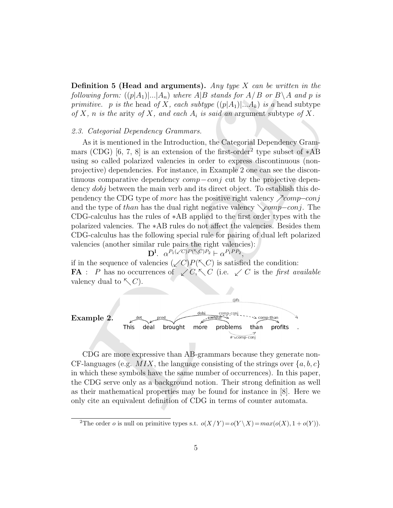**Definition 5 (Head and arguments).** Any type X can be written in the following form:  $((p|A_1)|...|A_n)$  where A|B stands for A/B or B \A and p is primitive. p is the head of X, each subtype  $((p|A_1)|...A_k)$  is a head subtype of X, n is the arity of X, and each  $A_i$  is said an argument subtype of X.

#### 2.3. Categorial Dependency Grammars.

Dl

formino or Questa and a guarants,  $\alpha_{10}$  and  $\alpha_{20}$  are  $\alpha_{10}$  are  $\alpha_{20}$  and  $\alpha_{21}$  and  $\alpha_{22}$  and  $\alpha_{23}$  and  $\alpha_{24}$  and  $\alpha_{25}$  and  $\alpha_{26}$  and  $\alpha_{27}$  and  $\alpha_{28}$  and  $\alpha_{29}$  and  $\alpha_{20}$  and  $\alpha_{2$ As it is mentioned in the Introduction, the Categorial Dependency Grammars (CDG) [6, 7, 8] is an extension of the first-order<sup>2</sup> type subset of  $*AB$ using so called polarized valencies in order to express discontinuous (nonprojective) dependencies. For instance, in Example 2 one can see the discontinuous comparative dependency comp−conj cut by the projective dependency *dobj* between the main verb and its direct object. To establish this dependency the CDG type of more has the positive right valency  $\gamma$ comp–conj and the type of than has the dual right negative valency  $\setminus comp-conj$ . The CDG-calculus has the rules of ∗AB applied to the first order types with the polarized valencies. The ∗AB rules do not affect the valencies. Besides them CDG-calculus has the following special rule for pairing of dual left polarized valencies (another similar rule pairs the right valencies):

$$
\mathbf{D}^1. \ \ \alpha^{P_1(\sqrt{C})P(\sqrt{C})P_2} \vdash \alpha^{P_1PP_2},
$$

if in the sequence of valencies  $(\angle C)P(\nwarrow C)$  is satisfied the condition: **FA** : P has no occurrences of  $\angle C$ ,  $\angle C$  (i.e.  $\angle C$  is the first available valency dual to  $\nwarrow C$ .



CDG are more expressive than AB-grammars because they generate non-CF-languages (e.g.  $MIX$ , the language consisting of the strings over  $\{a, b, c\}$ in which these symbols have the same number of occurrences). In this paper, the CDG serve only as a background notion. Their strong definition as well as their mathematical properties may be found for instance in [8]. Here we only cite an equivalent definition of CDG in terms of counter automata.

<sup>&</sup>lt;sup>2</sup>The order *o* is null on primitive types s.t.  $o(X/Y) = o(Y \setminus X) = max(o(X), 1 + o(Y)).$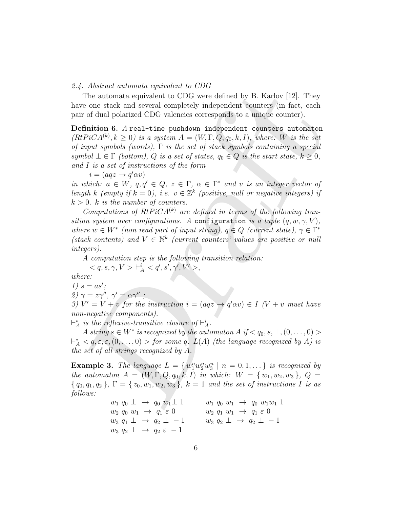#### 2.4. Abstract automata equivalent to CDG

The automata equivalent to CDG were defined by B. Karlov [12]. They have one stack and several completely independent counters (in fact, each pair of dual polarized CDG valencies corresponds to a unique counter).

The automata equivalent at COS<br>
The automata equivalent to CDG were defined by B. Karlov [12]. They<br>
ce one stack and several completely independent counters (in fact, each<br>
or of dual polarized CDG were defined by B. Kar Definition 6. A real-time pushdown independent counters automaton  $(RtPic A^{(k)}, k \geq 0)$  is a system  $A = (W, \Gamma, Q, q_0, k, I)$ , where: W is the set of input symbols (words),  $\Gamma$  is the set of stack symbols containing a special symbol  $\bot \in \Gamma$  (bottom), Q is a set of states,  $q_0 \in Q$  is the start state,  $k \geq 0$ , and I is a set of instructions of the form

 $i = (aqz \rightarrow q'\alpha v)$ 

in which:  $a \in W$ ,  $q, q' \in Q$ ,  $z \in \Gamma$ ,  $\alpha \in \Gamma^*$  and v is an integer vector of length k (empty if  $k = 0$ ), i.e.  $v \in \mathbb{Z}^k$  (positive, null or negative integers) if  $k > 0$ . k is the number of counters.

Computations of  $RtPiCA^{(k)}$  are defined in terms of the following transition system over configurations. A configuration is a tuple  $(q, w, \gamma, V)$ , where  $w \in W^*$  (non read part of input string),  $q \in Q$  (current state),  $\gamma \in \Gamma^*$ (stack contents) and  $V \in \mathbb{N}^k$  (current counters' values are positive or null integers).

A computation step is the following transition relation:  $< q, s, \gamma, V> \vdash^i_A < q', s', \gamma', V'>,$ 

where:

 $1)$   $\circ$   $-$ 

$$
1) s = as';
$$

2)  $\gamma = z\gamma'', \gamma' = \alpha\gamma''$ ;

3)  $V' = V + v$  for the instruction  $i = (aqz \rightarrow q'\alpha v) \in I$  (V + v must have non-negative components).

 $\vdash_A^*$  is the reflexive-transitive closure of  $\vdash_A^i$ .

A string  $s \in W^*$  is recognized by the automaton  $A$  if  $\langle q_0, s, \perp, (0, \ldots, 0) \rangle$  $\vdash_A^* \langle q, \varepsilon, \varepsilon, (0, \ldots, 0) >$  for some q.  $L(A)$  (the language recognized by A) is the set of all strings recognized by A.

**Example 3.** The language  $L = \{w_1^n w_2^n w_3^n \mid n = 0, 1, ...\}$  is recognized by the automaton  $A = (W, \Gamma, Q, q_0, k, I)$  in which:  $W = \{w_1, w_2, w_3\}, Q =$  ${q_0, q_1, q_2}$ ,  $\Gamma = {z_0, w_1, w_2, w_3}$ ,  $k = 1$  and the set of instructions I is as follows:

> $w_1 q_0 \perp \rightarrow q_0 w_1 \perp 1$   $w_1 q_0 w_1 \rightarrow q_0 w_1 w_1 1$  $w_2 q_0 w_1 \rightarrow q_1 \varepsilon 0$   $w_2 q_1 w_1 \rightarrow q_1 \varepsilon 0$  $w_3$   $q_1 \perp \rightarrow q_2 \perp -1$   $w_3$   $q_2 \perp \rightarrow q_2 \perp -1$  $w_3 q_2 \perp \rightarrow q_2 \varepsilon - 1$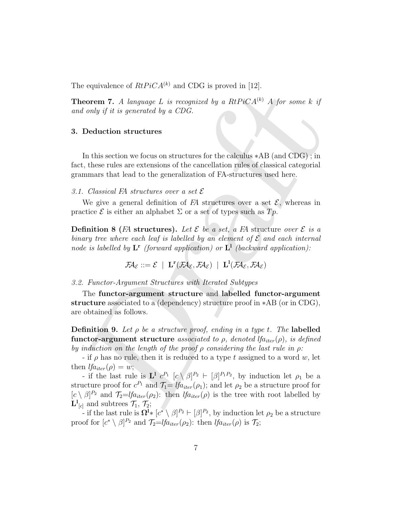The equivalence of  $RtPiCA^{(k)}$  and CDG is proved in [12].

**Theorem 7.** A language L is recognized by a  $RtPiCA^{(k)}$  A for some k if and only if it is generated by a CDG.

#### 3. Deduction structures

In this section we focus on structures for the calculus ∗AB (and CDG) ; in fact, these rules are extensions of the cancellation rules of classical categorial grammars that lead to the generalization of FA-structures used here.

#### 3.1. Classical FA structures over a set  $\mathcal E$

We give a general definition of  $FA$  structures over a set  $\mathcal{E}$ , whereas in practice  $\mathcal E$  is either an alphabet  $\Sigma$  or a set of types such as  $Tp$ .

**Definition 8** (FA structures). Let  $\mathcal{E}$  be a set, a FA structure over  $\mathcal{E}$  is a binary tree where each leaf is labelled by an element of  $\mathcal E$  and each internal node is labelled by  $L^r$  (forward application) or  $L^1$  (backward application):

$$
\mathcal{F}\!\!\mathcal{A}_{\mathcal{E}} ::= \mathcal{E} \ \mid \ \mathbf{L}^{\mathbf{r}}(\mathcal{F}\!\!\mathcal{A}_{\mathcal{E}}, \mathcal{F}\!\!\mathcal{A}_{\mathcal{E}}) \ \mid \ \mathbf{L}^{\mathbf{l}}(\mathcal{F}\!\!\mathcal{A}_{\mathcal{E}}, \mathcal{F}\!\!\mathcal{A}_{\mathcal{E}})
$$

#### 3.2. Functor-Argument Structures with Iterated Subtypes

The functor-argument structure and labelled functor-argument structure associated to a (dependency) structure proof in ∗AB (or in CDG), are obtained as follows.

**Definition 9.** Let  $\rho$  be a structure proof, ending in a type t. The labelled functor-argument structure associated to  $\rho$ , denoted lfa<sub>iter</sub>( $\rho$ ), is defined by induction on the length of the proof  $\rho$  considering the last rule in  $\rho$ :

- if  $\rho$  has no rule, then it is reduced to a type t assigned to a word w, let then  $lfa_{iter}(\rho) = w;$ 

becomen T. A larguage L is recognized by a RIPiCA<sup>Rb</sup> A for some k if<br>  $d$  only if it is generated by a CDG.<br>
Deduction structures<br>
In this section we focus on structures for the calculus  $*AB$  (and CDG); in<br>
In this secti - if the last rule is  $\mathbf{L}^1$   $c^{P_1}$   $[c \setminus \beta]^{P_2} \vdash [\beta]^{P_1 P_2}$ , by induction let  $\rho_1$  be a structure proof for  $c^{P_1}$  and  $\mathcal{T}_1=$   $lfa_{iter}(\rho_1)$ ; and let  $\rho_2$  be a structure proof for  $[c \setminus \beta]^{P_2}$  and  $\mathcal{T}_2 = \mathcal{I}f_{a_{iter}}(\rho_2)$ : then  $\mathcal{I}f_{a_{iter}}(\rho)$  is the tree with root labelled by  ${\bf L}^{\rm I}{}_{[c]}$  and subtrees  $\mathcal{T}_1, \mathcal{T}_2$ ;

- if the last rule is  $\mathbf{\Omega}^{\mathbf{l}} \ast [c^* \setminus \beta]^{P_2} \vdash [\beta]^{P_2}$ , by induction let  $\rho_2$  be a structure proof for  $[c^* \setminus \beta]^{P_2}$  and  $\mathcal{T}_2 = \text{Id}_{iter}(\rho_2)$ : then  $\text{Id}_{iter}(\rho)$  is  $\mathcal{T}_2$ ;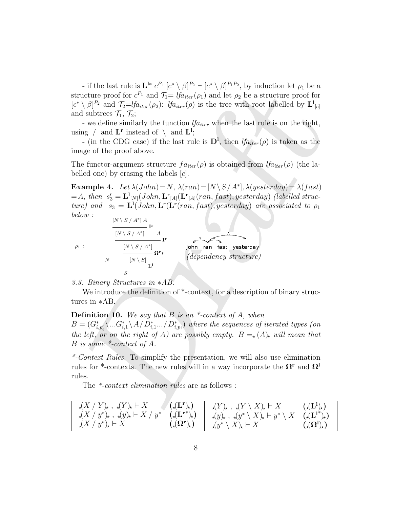- if the last rule is  $\mathbf{L}^{l*} c^{P_1} [c^* \setminus \beta]^{P_2} \vdash [c^* \setminus \beta]^{P_1 P_2}$ , by induction let  $\rho_1$  be a structure proof for  $c^{P_1}$  and  $\mathcal{T}_1 = \text{lf}_{ater}(\rho_1)$  and let  $\rho_2$  be a structure proof for  $[c^* \setminus \beta]^{P_2}$  and  $\mathcal{T}_2 = \text{Id}_{iter}(\rho_2)$ :  $\text{Id}_{iter}(\rho)$  is the tree with root labelled by  $\mathbf{L}^1_{[c]}$ and subtrees  $\mathcal{T}_1$ ,  $\mathcal{T}_2$ ;

- we define similarly the function  $lfa_{iter}$  when the last rule is on the right, using  $\Box$  and  $\mathbf{L}^{\mathbf{r}}$  instead of  $\Box$  and  $\mathbf{L}^{\mathbf{l}}$ ;

- (in the CDG case) if the last rule is  $D^l$ , then  $lfa_{iter}(\rho)$  is taken as the image of the proof above.

The functor-argument structure  $fa_{iter}(\rho)$  is obtained from  $lfa_{iter}(\rho)$  (the labelled one) by erasing the labels  $[c]$ .

For the distriction of  $\chi$  ( $\chi$ )<sup>2</sup> + ( $\chi$ ,  $\chi$ )<sup>2</sup> + ( $\chi$ )<sup>2</sup>)<sup>2</sup> + ( $\chi$ )<sup>2</sup>)<sup>2</sup> and (*ta b*<sub>2</sub>) b a structure proof for  $c^{N_1}$  and  $T_1 = [f\eta_{disc}(p))$  and let *b*<sub>2</sub> be a structure proof for similarly the function **Example 4.** Let  $\lambda(John) = N$ ,  $\lambda(ran) = [N \setminus S / A^*]$ ,  $\lambda(yesterdam) = \lambda(fast)$  $A_t = A$ , then  $s'_3 = {\bf L}^1_{[N]}(John, {\bf L^r}_{[A]}(Tan, fast), yesterday)$  (labelled structure) and  $s_3 = \mathbf{L}^{\mathbf{l}}(John, \mathbf{L}^{\mathbf{r}}(ran, fast), yesterday)$  are associated to  $\rho_1$ below :  $[N \setminus S / A^*] A$ 

$$
\rho_1
$$
 :

(dependency structure)

S 3.3. Binary Structures in ∗AB.

N

We introduce the definition of  $*$ -context, for a description of binary structures in ∗AB.

#### **Definition 10.** We say that  $B$  is an  $*$ -context of  $A$ , when

I r

 $\mathbf{L}^1$ 

I r

Ωr∗

 $[N \setminus S / A^*]$  A

 $[N \setminus S / A^*]$ 

 $[N \setminus S]$ 

 $B=(G_{i,p_i'}^*\langle ...G_{i,1}^*\setminus A/D_{i,1}^*.../D_{i,p_i}^*)$  where the sequences of iterated types (on the left, or on the right of A) are possibly empty.  $B = (A)_*$  will mean that B is some \*-context of A.

\*-Context Rules. To simplify the presentation, we will also use elimination rules for \*-contexts. The new rules will in a way incorporate the  $\Omega^r$  and  $\Omega^l$ rules.

The \*-context elimination rules are as follows :

| $_{\star}(X/Y)_{\star}$ , $_{\star}(Y)_{\star}$ $\vdash X$                       | $\blacksquare(\mathbf{L}(\mathbf{L}^{\mathbf{r}})_{\star})$ | $_{\star}(Y)_{\star}$ , $_{\star}(Y \setminus X)_{\star} \vdash X$                                                              | $(\mathbf{L}^1)_\star$          |
|----------------------------------------------------------------------------------|-------------------------------------------------------------|---------------------------------------------------------------------------------------------------------------------------------|---------------------------------|
| $\chi(X/y^*)_x$ , $\chi(y)_x \vdash X/y^*$ $(\chi(\mathbf{L}^{\mathbf{r}^*})_x)$ |                                                             | $\mathcal{A}(y)_{\star}$ , $\mathcal{A}(y^*\setminus X)_{\star}\vdash y^*\setminus X$ $(\mathcal{A}(\mathbf{L}^{1^*})_{\star})$ |                                 |
| $_{\star}(X/y^*)_{\star} \vdash X$                                               | $(\mathcal{L}(\Omega^r)_\star)$                             | $\mathcal{A},y^*\setminus X$ <sub>k</sub> $\vdash X$                                                                            | $(\mathcal{L}(\Omega^1)_\star)$ |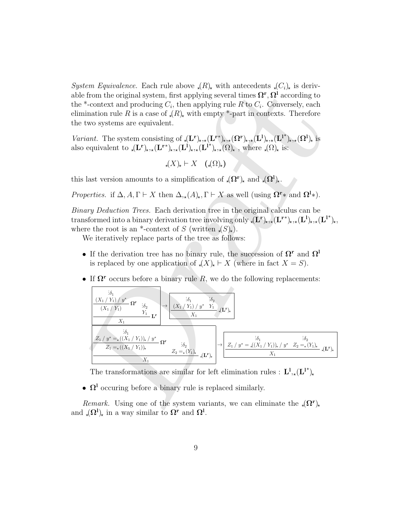System Equivalence. Each rule above  $\mathcal{A}(R)$  with antecedents  $\mathcal{A}(C_i)$  is derivable from the original system, first applying several times  $\Omega^{\mathbf{r}}, \Omega^{\mathbf{l}}$  according to the \*-context and producing  $C_i$ , then applying rule R to  $C_i$ . Conversely, each elimination rule R is a case of  $\langle R \rangle$  with empty \*-part in contexts. Therefore the two systems are equivalent.

Variant. The system consisting of  $_{\star}(\mathbf{L}^{\mathbf{r}})_{\star},_{\star}(\mathbf{L}^{\mathbf{r}})_{\star},_{\star}(\mathbf{\Omega}^{\mathbf{r}})_{\star},_{\star}(\mathbf{L}^{\mathbf{l}})_{\star},_{\star}(\mathbf{L}^{\mathbf{l}})_{\star},_{\star}(\mathbf{\Omega}^{\mathbf{l}})_{\star}$  is also equivalent to  $\langle L^{\mathbf{r}} \rangle_{\star}, \langle L^{\mathbf{r} *} \rangle_{\star}, \langle L^{\mathbf{l}} \rangle_{\star}, \langle L^{\mathbf{l} *} \rangle_{\star}, \langle \Omega \rangle_{\star}$ , where  $\langle \Omega \rangle_{\star}$  is:

$$
(\mathcal{X})_{\star} \vdash X \quad (\mathcal{A}(\Omega)_{\star})
$$

this last version amounts to a simplification of  $\mathcal{A}(\Omega^{\mathbf{r}})_{\mathbf{x}}$  and  $\mathcal{A}(\Omega^{\mathbf{l}})_{\mathbf{x}}$ .

Properties. if  $\Delta$ ,  $A, \Gamma \vdash X$  then  $\Delta_{,\star}(A)_{\star}, \Gamma \vdash X$  as well (using  $\overline{\Omega^{\mathbf{r}}*}$  and  $\Omega^{\mathbf{l}}*$ ).

Binary Deduction Trees. Each derivation tree in the original calculus can be transformed into a binary derivation tree involving only  $\check{A}(\mathbf{L}^{\mathbf{r}})_{\star}, \star (\mathbf{L}^{\mathbf{r}})_{\star}, \star (\mathbf{L}^{\mathbf{l}})_{\star}, \star (\mathbf{L}^{\mathbf{l}}^{\ast})_{\star}$ where the root is an \*-context of S (written  $\mathcal{S}(S)$ .

We iteratively replace parts of the tree as follows:

- If the derivation tree has no binary rule, the succession of  $\Omega^r$  and  $\Omega^l$ is replaced by one application of  $\mathcal{A}(X)_{\star} \vdash X$  (where in fact  $X = S$ ).
- If  $\Omega$ <sup>r</sup> occurs before a binary rule R, we do the following replacements:

*then Equivalence*: Laur<sub>4</sub> and rule-*equivalence* is given, first applying several times 
$$
\Omega^{\Gamma}, \Omega^1
$$
 accur-  
of some the original system, first applying well *R* to  $C_i$ . Converely, each  
nination rule *R* is a case of  $(R)_k$  with empty\*-part in contexts. Therefore  
two systems are equivalent.  
*riant*. The system consisting of  $_{k}(\mathbf{L}^{\Gamma})_{k,*}(\mathbf{L}^{\Gamma^*})_{k,*}(\Omega^{\Gamma})_{k,*}(\mathbf{L}^{\Gamma^*})_{k,*}(\Omega^1)_k$  is  
to equivalent to  $_{k}(\mathbf{L}^{\Gamma})_{k,*}(\mathbf{L}^{\Gamma^*})_{k,*}(\Omega^1)_k$ ,  $(\mathbf{L}^{\Gamma^*})_{k,*}(\Omega^1)_k$ , where  $(\Omega)_k$  is:  
 $_{k}(\mathbf{X})_k \vdash X$   $(_{k}(\Omega)_k)$   
is last version amounts to a simplification of  $_{k}(\Omega^{\Gamma})_k$  and  $_{k}(\Omega^1)_k$ .  
operators. if  $\Delta, A, \Gamma \vdash X$  then  $\Delta_{**}(A)_k, \Gamma \vdash X$  as well (using  $\Omega^{\Gamma*}$  and  $\Omega^1*$ ).  
we therefore the root is an \*-context of  $S$  (written  $_{k}(\Sigma)_k$ ).  
We iteratively replace parts of the tree as follows:  
**•** If the derivation tree has no binary rule, the succession of  $\Omega^{\Gamma}$  and  $\Omega^1$   
is replaced by one application of  $_{k}(\mathbf{X})_k \vdash X$  (where in fact  $X = S$ ).  
**•** If  $\Omega^{\Gamma}$  occurs before a binary rule *R*, we do the following replacements:  

$$
\frac{\frac{\partial \delta_1}{\partial \Gamma}}{\frac{\langle X_1/Y_1 \rangle \langle y^* \rangle \Gamma}}{\frac{\langle X_1/Y_1 \rangle \langle y^* \rangle \Gamma}}{\frac{\langle X_1/Y_1 \rangle \langle y^* \rangle \Gamma}}{\frac{\langle X_1/Y_1 \rangle \langle y^* \rangle \Gamma}}{\frac{\langle X_1/Y_1 \rangle \langle y^* \rangle \Gamma}}{\frac{\langle X_1/Y_1 \rangle \langle y^* \rangle \Gamma}}
$$

The transformations are similar for left elimination rules :  $\mathbf{L}^{1}$ <sub>,\*</sub> $(\mathbf{L}^{1})$ <sup>\*</sup><sub>)</sub><sub>\*</sub>

•  $\Omega^1$  occuring before a binary rule is replaced similarly.

Remark. Using one of the system variants, we can eliminate the  $\sqrt{(\Omega^r)}$ and  $_{\star}(\Omega^{\mathbf{l}})_{\star}$  in a way similar to  $\Omega^{\mathbf{r}}$  and  $\Omega^{\mathbf{l}}$ .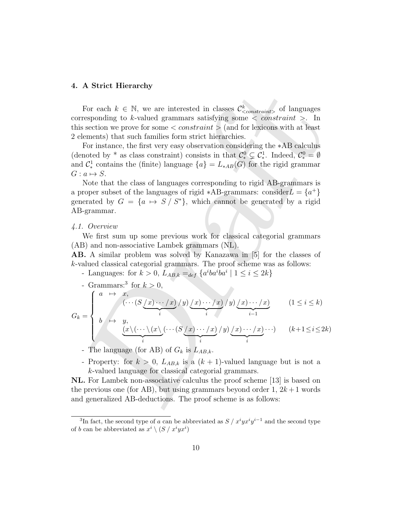#### 4. A Strict Hierarchy

For each  $k \in \mathbb{N}$ , we are interested in classes  $\mathcal{C}^k_{\leq constant>}$  of languages corresponding to k-valued grammars satisfying some  $\langle constant \rangle$ . In this section we prove for some  $\langle constant \rangle$  (and for lexicons with at least 2 elements) that such families form strict hierarchies.

For instance, the first very easy observation considering the ∗AB calculus (denoted by \* as class constraint) consists in that  $\mathcal{C}^0_* \subsetneq \mathcal{C}^1_*$ . Indeed,  $\mathcal{C}^0_* = \emptyset$ and  $\mathcal{C}_{*}^{1}$  contains the (finite) language  ${a} = L_{*AB}(G)$  for the rigid grammar  $G: a \mapsto S$ .

Note that the class of languages corresponding to rigid AB-grammars is a proper subset of the languages of rigid \*AB-grammars: consider  $L = \{a^+\}$ generated by  $G = \{a \mapsto S / S^*\}$ , which cannot be generated by a rigid AB-grammar.

#### 4.1. Overview

We first sum up some previous work for classical categorial grammars (AB) and non-associative Lambek grammars (NL).

AB. A similar problem was solved by Kanazawa in [5] for the classes of k-valued classical categorial grammars. The proof scheme was as follows:

- Languages: for  $k > 0$ ,  $L_{AB,k} =_{def} \{a^i b a^i b a^i \mid 1 \leq i \leq 2k\}$
- Grammars:<sup>3</sup> for  $k > 0$ ,

4. A strict Theiating  
\nFor each 
$$
k \in \mathbb{N}
$$
, we are interested in classes  $C_{\text{constraint}}^k$  of languages  
\ncorresponding to *k*-valued grammars satisfying some *<* constraint *>* In  
\nthis section we prove for some *<* constraint *>* (and for lexicons with at least  
\n2 elements) that such families form strict hierarchies.  
\nFor instance, the first very easy observation considering the \*AB calculus  
\n(denoted by \* as class constraint) consists in that  $C_{\epsilon}^0 \subset C_{\epsilon}^1$ . Indeed,  $C_{\epsilon}^0 = \emptyset$   
\nand  $C_{\epsilon}^1$  contains the (finite) language  $\{a\} = L_{*AB}(G)$  for the rigid grammar  
\n $G: a \mapsto S$ .  
\nNote that the class of languages corresponding to rigid AB-grammars is  
\na proper subset of the languages of rigid \*AB-grammars: consider  $L = \{a^+\}$   
\ngenerated by  $G = \{a \mapsto S / S^*\}$ , which cannot be generated by a rigid  
\nAB-grammar.  
\n4.1. Overview  
\nWe first sum up some previous work for classical categorical grammars  
\n(AB) and non-associative Lambek grammars (NL).  
\nAB. A similar problem was solved by Kanazawa in [5] for the classes of  
\n*k*-valued classical categories; for *k* > 0, *L*<sub>AB,k</sub> =<sub>def</sub>  $\{a^iba^iba^i \mid 1 \leq i \leq 2k\}$   
\n- Grammars:<sup>3</sup> for *k* > 0,  
\n $\{a \mapsto a, \quad (\cdots(S_{\ell}x) \cdots / x)/y) \underline{(x) \cdots / x} / y) \underline{(x) \cdots / x}$  (1 ≤ *i* ≤ *k*)  
\n $G_k = \begin{cases}\na \mapsto a, \quad (\cdots (S_{\ell}x) \cdots / x)/y) \underline{(x) \cdots / x} / y \underline{(x) \cdots / x} \\ \vdots \\ \underline{(x \langle \cdots \langle (x \langle \cdots (S_{\ell}x) \cdots x) \rangle y) \underline{(x) \cdots / x})} \\ \vdots \\ \underline{(x \langle \cdots \langle (S_{\ell}x) \cdots x \rangle y) \underline{(x) \cdots / x}} \\ \vdots \\ \underline{(x \langle \cdots \langle (S_{\ell}x$ 

- The language (for AB) of  $G_k$  is  $L_{AB,k}$ .

- Property: for  $k > 0$ ,  $L_{AB,k}$  is a  $(k + 1)$ -valued language but is not a k-valued language for classical categorial grammars.

NL. For Lambek non-associative calculus the proof scheme [13] is based on the previous one (for AB), but using grammars beyond order 1,  $2k+1$  words and generalized AB-deductions. The proof scheme is as follows:

<sup>&</sup>lt;sup>3</sup>In fact, the second type of a can be abbreviated as  $S / x^i y x^i y^{i-1}$  and the second type of b can be abbreviated as  $x^i \setminus (S / x^i y x^i)$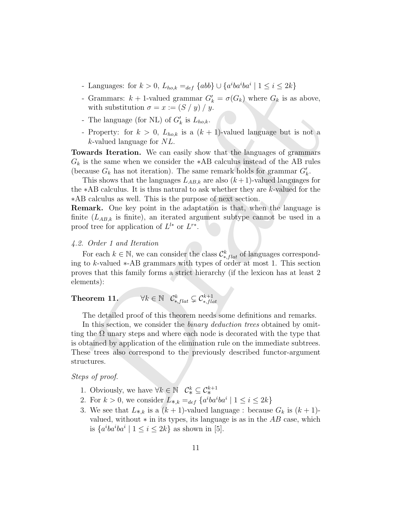- Languages: for  $k > 0$ ,  $L_{ho,k} =_{def} {abb} \cup {a^i b a^i b a^i \mid 1 \le i \le 2k}$
- Grammars:  $k + 1$ -valued grammar  $G'_{k} = \sigma(G_{k})$  where  $G_{k}$  is as above, with substitution  $\sigma = x := (S / y) / y$ .
- The language (for NL) of  $G'_{k}$  is  $L_{ho,k}$ .
- Property: for  $k > 0$ ,  $L_{hok}$  is a  $(k + 1)$ -valued language but is not a k-valued language for NL.

Towards Iteration. We can easily show that the languages of grammars  $G_k$  is the same when we consider the \*AB calculus instead of the AB rules (because  $G_k$  has not iteration). The same remark holds for grammar  $G'_k$ .

This shows that the languages  $L_{AB,k}$  are also  $(k+1)$ -valued languages for the ∗AB calculus. It is thus natural to ask whether they are k-valued for the ∗AB calculus as well. This is the purpose of next section.

Remark. One key point in the adaptation is that, when the language is finite  $(L_{AB,k}$  is finite), an iterated argument subtype cannot be used in a proof tree for application of  $L^{l*}$  or  $L^{r*}$ .

### 4.2. Order 1 and Iteration

For each  $k \in \mathbb{N}$ , we can consider the class  $\mathcal{C}_{*,flat}^k$  of languages corresponding to k-valued ∗-AB grammars with types of order at most 1. This section proves that this family forms a strict hierarchy (if the lexicon has at least 2 elements):

#### Theorem 11.  $\qquad \forall k \in \mathbb{N} \ \ \substack{\mathcal{C}^k_{*,flat} \subsetneq \mathcal{C}^{k+1}_{*,flat} }$ ∗,f lat

The detailed proof of this theorem needs some definitions and remarks.

Franques to  $k > 0$ ,  $t \log_k = d\xi / 400q$  for an  $\alpha = 1$  can be  $\alpha = 1$ .<br>
C Grammars:  $k + 1$ -valued grammar  $G'_k = \sigma(G_k)$  where  $G_k$  is as above, with substitution  $\sigma = x := (S/y)/y$ .<br>
The language (for NL) of  $G'_k$  is  $L_{back}$ <br>  $k > 0$ , In this section, we consider the *binary deduction trees* obtained by omitting the  $\Omega$  unary steps and where each node is decorated with the type that is obtained by application of the elimination rule on the immediate subtrees. These trees also correspond to the previously described functor-argument structures.

Steps of proof.

- 1. Obviously, we have  $\forall k \in \mathbb{N} \quad C^k_* \subseteq C^{k+1}_*$
- 2. For  $k > 0$ , we consider  $L_{*,k} =_{def} \{a^i b a^i b a^i \mid 1 \leq i \leq 2k\}$
- 3. We see that  $L_{*,k}$  is a  $(k + 1)$ -valued language : because  $G_k$  is  $(k + 1)$ valued, without  $*$  in its types, its language is as in the  $AB$  case, which is  $\{a^iba^iba^i \mid 1 \leq i \leq 2k\}$  as shown in [5].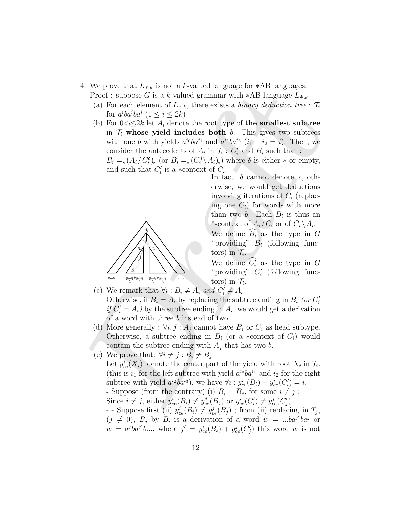- 4. We prove that  $L_{*,k}$  is not a k-valued language for \*AB languages. Proof : suppose G is a k-valued grammar with \*AB language  $L_{*,k}$ 
	- (a) For each element of  $L_{*,k}$ , there exists a *binary deduction tree* :  $\mathcal{T}_i$ for  $a^iba^i$   $(1 \leq i \leq 2k)$
	- (b) For  $0 < i \leq 2k$  let  $A_i$  denote the root type of the smallest subtree in  $\mathcal{T}_i$  whose yield includes both b. This gives two subtrees with one b with yields  $a^{i_0}ba^{i_1}$  and  $a^{i_2}ba^{i_3}$   $(i_1 + i_2 = i)$ . Then, we consider the antecedents of  $A_i$  in  $\mathcal{T}_i$  :  $C'_i$  and  $B_i$  such that :

 $B_i = (A_i/C_i^{\delta})_*$  (or  $B_i = (C_i^{\delta} \setminus A_i)_*$ ) where  $\delta$  is either  $*$  or empty, and such that  $C_i'$  is a ∗context of  $C_i$ .



In fact,  $\delta$  cannot denote  $\ast$ , otherwise, we would get deductions involving iterations of  $C_i$  (replacing one  $C_i$ ) for words with more than two b. Each  $B_i$  is thus an \*-context of  $A_i/C_i$  or of  $C_i \backslash A_i$ . We define  $\widehat{B_i}$  as the type in G

"providing"  $B_i$  (following functors) in  $\mathcal{T}_i$ .

We define  $C_i'$  as the type in G "providing"  $C_i'$  (following functors) in  $\mathcal{T}_i$ .

- (c) We remark that  $\forall i : B_i \neq A_i$  and  $C'_i \neq A_i$ . Otherwise, if  $B_i = A_i$  by replacing the subtree ending in  $B_i$  (or  $C_i'$ if  $C_i' = A_i$ ) by the subtree ending in  $A_i$ , we would get a derivation of a word with three b instead of two.
- (d) More generally :  $\forall i, j : A_j$  cannot have  $B_i$  or  $C_i$  as head subtype. Otherwise, a subtree ending in  $B_i$  (or a ∗context of  $C_i$ ) would contain the subtree ending with  $A_i$  that has two b.
- From the region are reacted the model and papel of  $\ast$ ND bunglages  $\int_{k}^{2}$  (a) For each element of  $L_{*,k}$ , there exists a *binary dediction* free :  $T_{i}$  for  $a^{i}bd^{i}$  (1  $\leq i \leq 2k$ )<br>
(b) For  $0<sup>i</sup> \leq 2k$  let (e) We prove that:  $\forall i \neq j : B_i \neq B_j$ Let  $y_{ce}^i(X_i)$  denote the center part of the yield with root  $X_i$  in  $\mathcal{T}_i$ . (this is  $i_1$  for the left subtree with yield  $a^{i_0}ba^{i_1}$  and  $i_2$  for the right subtree with yield  $a^{i_2}ba^{i_3}$ , we have  $\forall i: y_{ce}^i(B_i) + y_{ce}^i(C_i') = i$ . - Suppose (from the contrary) (i)  $B_i = B_j$ , for some  $i \neq j$ ; Since  $i \neq j$ , either  $y_{ce}^i(B_i) \neq y_{ce}^j(B_j)$  or  $y_{ce}^i(C_i') \neq y_{ce}^j(C_j')$ . - Suppose first (ii)  $y_{ce}^{i}(B_i) \neq y_{ce}^{j}(B_j)$ ; from (ii) replacing in  $T_j$ ,  $(j \neq 0)$ ,  $B_j$  by  $B_i$  is a derivation of a word  $w = ...ba^{j'}ba^{j}$  or  $w = a^jba^{j'}b...,$  where  $j' = y_{ce}^i(B_i) + y_{ce}^j(C'_j)$  this word w is not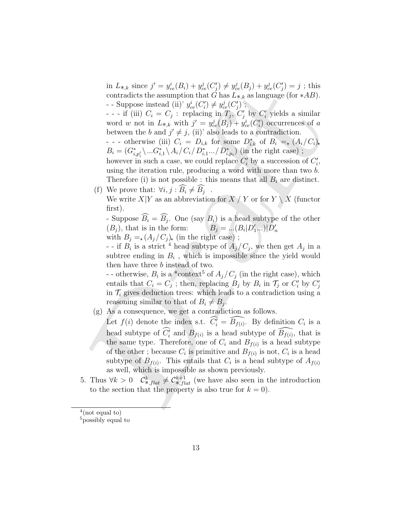in  $L_{*,k}$  since  $j' = y_{ce}^i(B_i) + y_{ce}^j(C'_j) \neq y_{ce}^j(B_j) + y_{ce}^j(C'_j) = j$ ; this contradicts the assumption that G has  $L_{\star,k}$  as language (for  $\star AB$ ). - Suppose instead (ii)'  $y_{ce}^i(C_i') \neq y_{ce}^j(C_j')$ ;

- - - if (iii)  $C_i = C_j$ : replacing in  $T_j$ ,  $C'_j$  by  $C'_i$  yields a similar word w not in  $L_{*,k}$  with  $j' = y_{ce}^j(B_j) + y_{ce}^i(C_i')$  occurrences of a between the b and  $j' \neq j$ , (ii)' also leads to a contradiction.

- - - otherwise (iii)  $C_i = D_{i,k}$  for some  $D_{i,k}^*$  of  $B_i = (A_i/C_i)_*$  $B_i = (G_{i,p'_i}^* \, \dots G_{i,1}^* \, \backslash \, A_i / C_i / D_{i,1}^* \dots / D_{i,p_i}^*)$  (in the right case);

however in such a case, we could replace  $C_i'$  by a succession of  $C_i'$ , using the iteration rule, producing a word with more than two b. Therefore (i) is not possible : this means that all  $B_i$  are distinct.

(f) We prove that:  $\forall i, j : B_i \neq B_j$ .

We write  $X|Y$  as an abbreviation for  $X / Y$  or for  $Y \setminus X$  (functor first).

- Suppose  $B_i = B_j$ . One (say  $B_i$ ) is a head subtype of the other  $(B_j)$ , that is in the form:  $B_j = ... (B_i | D'_1 ... ) | D'_n$ with  $B_i = (A_i / C_i)_*$  (in the right case);

- - if  $B_i$  is a strict <sup>4</sup> head subtype of  $A_j/C_j$ , we then get  $A_j$  in a subtree ending in  $B_i$ , which is impossible since the yield would then have three b instead of two.

- otherwise,  $B_i$  is a \*context<sup>5</sup> of  $A_j/C_j$  (in the right case), which entails that  $C_i = C_j$ ; then, replacing  $B_j$  by  $B_i$  in  $\mathcal{T}_j$  or  $C'_i$  by  $C'_j$ in  $\mathcal{T}_i$  gives deduction trees: which leads to a contradiction using a reasoning similar to that of  $B_i \neq B_j$ .

(g) As a consequence, we get a contradiction as follows.

*n*  $\alpha_{sk}$  some  $\alpha_{sk} = g_{sk}(\alpha) + g_{ks}(\alpha) + g_{ks}(\alpha) + g_{ks}(\alpha) + g_{ks}(\alpha) + g_{ks}(\alpha) + g_{ks}(\alpha)$ <br>
contradicts the assumption that  $G$  has  $L_{sk}$  as largings (for \*AB).<br>
- Suppose instead (ii)  $g_{k}(G_{k}) \neq g_{ks}^{\prime}(\alpha)$ ; by  $G'_{k}$  yields a Let  $f(i)$  denote the index s.t.  $\widehat{C_i'} = \widehat{B_{f(i)}}$ . By definition  $C_i$  is a head subtype of  $\widehat{C_i'}$  and  $B_{f(i)}$  is a head subtype of  $\widehat{B_{f(i)}}$ , that is the same type. Therefore, one of  $C_i$  and  $B_{f(i)}$  is a head subtype of the other; because  $C_i$  is primitive and  $B_{f(i)}$  is not,  $C_i$  is a head subtype of  $B_{f(i)}$ . This entails that  $C_i$  is a head subtype of  $A_{f(i)}$ as well, which is impossible as shown previously.

5. Thus  $\forall k > 0$   $\mathcal{C}^k_{*, flat} \neq \mathcal{C}^{k+1}_{*, flat}$  (we have also seen in the introduction to the section that the property is also true for  $k = 0$ ).

 $4$ (not equal to)

<sup>&</sup>lt;sup>5</sup>possibly equal to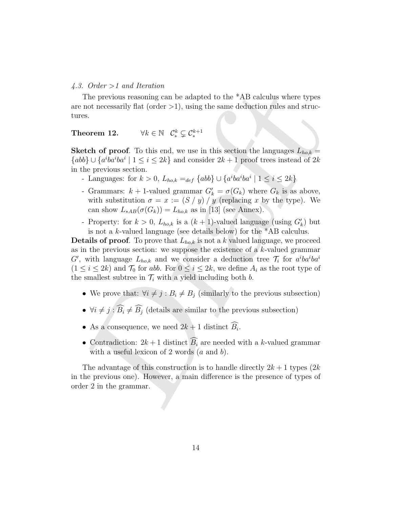#### 4.3. Order >1 and Iteration

The previous reasoning can be adapted to the \*AB calculus where types are not necessarily flat (order  $>1$ ), using the same deduction rules and structures.

## Theorem 12.  $\forall k \in \mathbb{N} \quad \mathcal{C}^k_* \subsetneq \mathcal{C}^{k+1}_*$

**Sketch of proof.** To this end, we use in this section the languages  $L_{ho,k} =$  ${a}b\} \cup \{a^iba^iba^i \mid 1 \leq i \leq 2k\}$  and consider  $2k+1$  proof trees instead of  $2k$ in the previous section.

- Languages: for  $k > 0$ ,  $L_{ho,k} =_{def} \{abb\} \cup \{a^i b a^i b a^i \mid 1 \leq i \leq 2k\}$
- Grammars:  $k + 1$ -valued grammar  $G'_{k} = \sigma(G_{k})$  where  $G_{k}$  is as above, with substitution  $\sigma = x := (S / y) / y$  (replacing x by the type). We can show  $L_{*AB}(\sigma(G_k)) = L_{ho,k}$  as in [13] (see Annex).
- Property: for  $k > 0$ ,  $L_{ho,k}$  is a  $(k + 1)$ -valued language (using  $G'_{k}$ ) but is not a k-valued language (see details below) for the \*AB calculus.

. Once 7+ and netrator.<br>
The previous reasoning can be adapted to the "AB calculus where types<br>
not necessarily flat (order >1), using the same deduction rules and struc-<br>
es.<br>
escreen 12.  $\forall k \in \mathbb{N} \quad \mathcal{C}_{\epsilon}^{k} \subseteq \mathcal{$ **Details of proof.** To prove that  $L_{ho,k}$  is not a k valued language, we proceed as in the previous section: we suppose the existence of a  $k$ -valued grammar G', with language  $L_{ho,k}$  and we consider a deduction tree  $\mathcal{T}_i$  for  $a^i b a^i b a^i$  $(1 \leq i \leq 2k)$  and  $\mathcal{T}_0$  for abb. For  $0 \leq i \leq 2k$ , we define  $A_i$  as the root type of the smallest subtree in  $\mathcal{T}_i$  with a yield including both b.

- We prove that:  $\forall i \neq j : B_i \neq B_j$  (similarly to the previous subsection)
- $\forall i \neq j : \widehat{B_i} \neq \widehat{B_j}$  (details are similar to the previous subsection)
- As a consequence, we need  $2k+1$  distinct  $B_i$ .
- Contradiction:  $2k+1$  distinct  $\widehat{B}_i$  are needed with a k-valued grammar with a useful lexicon of 2 words  $(a \text{ and } b)$ .

The advantage of this construction is to handle directly  $2k + 1$  types  $(2k)$ in the previous one). However, a main difference is the presence of types of order 2 in the grammar.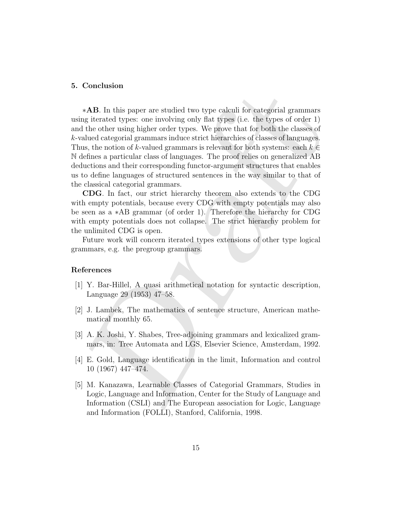#### 5. Conclusion

**\*AB.** In this paper are isotided two type calculi for categorial grammars  $*AB$ . In this paper are isotivity anly that types (i.e. the types of order 1) the dulter using higher order types. We prove that for both the clas ∗AB. In this paper are studied two type calculi for categorial grammars using iterated types: one involving only flat types (i.e. the types of order 1) and the other using higher order types. We prove that for both the classes of k-valued categorial grammars induce strict hierarchies of classes of languages. Thus, the notion of k-valued grammars is relevant for both systems: each  $k \in$ N defines a particular class of languages. The proof relies on generalized AB deductions and their corresponding functor-argument structures that enables us to define languages of structured sentences in the way similar to that of the classical categorial grammars.

CDG. In fact, our strict hierarchy theorem also extends to the CDG with empty potentials, because every CDG with empty potentials may also be seen as a ∗AB grammar (of order 1). Therefore the hierarchy for CDG with empty potentials does not collapse. The strict hierarchy problem for the unlimited CDG is open.

Future work will concern iterated types extensions of other type logical grammars, e.g. the pregroup grammars.

#### References

- [1] Y. Bar-Hillel, A quasi arithmetical notation for syntactic description, Language 29 (1953) 47–58.
- [2] J. Lambek, The mathematics of sentence structure, American mathematical monthly 65.
- [3] A. K. Joshi, Y. Shabes, Tree-adjoining grammars and lexicalized grammars, in: Tree Automata and LGS, Elsevier Science, Amsterdam, 1992.
- [4] E. Gold, Language identification in the limit, Information and control 10 (1967) 447–474.
- [5] M. Kanazawa, Learnable Classes of Categorial Grammars, Studies in Logic, Language and Information, Center for the Study of Language and Information (CSLI) and The European association for Logic, Language and Information (FOLLI), Stanford, California, 1998.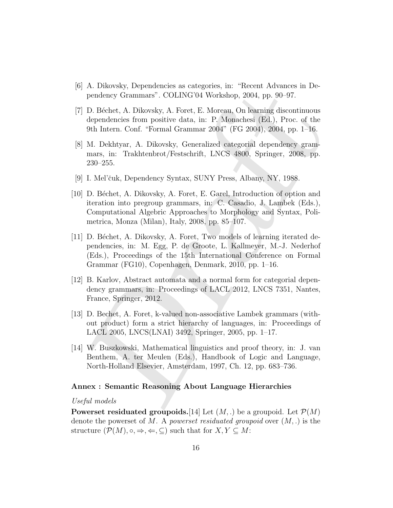- [6] A. Dikovsky, Dependencies as categories, in: "Recent Advances in Dependency Grammars". COLING'04 Workshop, 2004, pp. 90–97.
- [7] D. Béchet, A. Dikovsky, A. Foret, E. Moreau, On learning discontinuous dependencies from positive data, in: P. Monachesi (Ed.), Proc. of the 9th Intern. Conf. "Formal Grammar 2004" (FG 2004), 2004, pp. 1–16.
- [8] M. Dekhtyar, A. Dikovsky, Generalized categorial dependency grammars, in: Trakhtenbrot/Festschrift, LNCS 4800, Springer, 2008, pp. 230–255.
- [9] I. Mel'čuk, Dependency Syntax, SUNY Press, Albany, NY, 1988.
- [10] D. Béchet, A. Dikovsky, A. Foret, E. Garel, Introduction of option and iteration into pregroup grammars, in: C. Casadio, J. Lambek (Eds.), Computational Algebric Approaches to Morphology and Syntax, Polimetrica, Monza (Milan), Italy, 2008, pp. 85–107.
- A. Distorset, Jolyndonicke as teategones, n. f. eccore Aroundes in Dendmer Channes in Dendmer Commans". COLING'04 Workshop, 2004, pp. 90–97.<br>
D. Béchet, A. Dikovsky, A. Foret, F. Moreaus, On learning discontinuous<br>
depende [11] D. Béchet, A. Dikovsky, A. Foret, Two models of learning iterated dependencies, in: M. Egg, P. de Groote, L. Kallmeyer, M.-J. Nederhof (Eds.), Proceedings of the 15th International Conference on Formal Grammar (FG10), Copenhagen, Denmark, 2010, pp. 1–16.
- [12] B. Karlov, Abstract automata and a normal form for categorial dependency grammars, in: Proceedings of LACL 2012, LNCS 7351, Nantes, France, Springer, 2012.
- [13] D. Bechet, A. Foret, k-valued non-associative Lambek grammars (without product) form a strict hierarchy of languages, in: Proceedings of LACL 2005, LNCS(LNAI) 3492, Springer, 2005, pp. 1–17.
- [14] W. Buszkowski, Mathematical linguistics and proof theory, in: J. van Benthem, A. ter Meulen (Eds.), Handbook of Logic and Language, North-Holland Elsevier, Amsterdam, 1997, Ch. 12, pp. 683–736.

#### Annex : Semantic Reasoning About Language Hierarchies

#### Useful models

**Powerset residuated groupoids.**[14] Let  $(M, .)$  be a groupoid. Let  $\mathcal{P}(M)$ denote the powerset of M. A powerset residuated groupoid over  $(M,.)$  is the structure  $(\mathcal{P}(M), \circ, \Rightarrow, \Leftarrow, \subseteq)$  such that for  $X, Y \subseteq M$ :